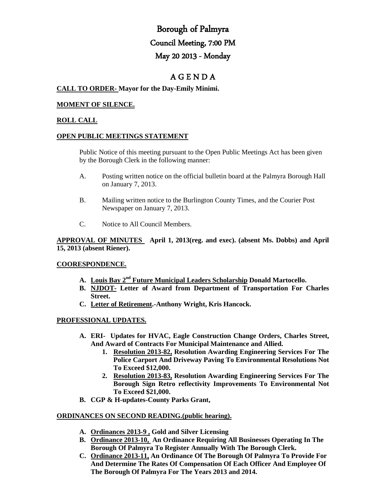# Borough of Palmyra Council Meeting, 7:00 PM May 20 2013 - Monday

# A G E N D A

# **CALL TO ORDER- Mayor for the Day-Emily Minimi.**

## **MOMENT OF SILENCE.**

## **ROLL CALL**

#### **OPEN PUBLIC MEETINGS STATEMENT**

Public Notice of this meeting pursuant to the Open Public Meetings Act has been given by the Borough Clerk in the following manner:

- A. Posting written notice on the official bulletin board at the Palmyra Borough Hall on January 7, 2013.
- B. Mailing written notice to the Burlington County Times, and the Courier Post Newspaper on January 7, 2013.
- C. Notice to All Council Members.

# **APPROVAL OF MINUTES April 1, 2013(reg. and exec). (absent Ms. Dobbs) and April 15, 2013 (absent Riener).**

## **COORESPONDENCE.**

- **A. Louis Bay 2nd Future Municipal Leaders Scholarship Donald Martocello.**
- **B. NJDOT- Letter of Award from Department of Transportation For Charles Street.**
- **C. Letter of Retirement.-Anthony Wright, Kris Hancock.**

## **PROFESSIONAL UPDATES.**

- **A. ERI- Updates for HVAC, Eagle Construction Change Orders, Charles Street, And Award of Contracts For Municipal Maintenance and Allied.** 
	- **1. Resolution 2013-82, Resolution Awarding Engineering Services For The Police Carport And Driveway Paving To Environmental Resolutions Not To Exceed \$12,000.**
	- **2. Resolution 2013-83, Resolution Awarding Engineering Services For The Borough Sign Retro reflectivity Improvements To Environmental Not To Exceed \$21,000.**
- **B. CGP & H-updates-County Parks Grant,**

#### **ORDINANCES ON SECOND READING.(public hearing).**

- **A. Ordinances 2013-9 , Gold and Silver Licensing**
- **B. Ordinance 2013-10, An Ordinance Requiring All Businesses Operating In The Borough Of Palmyra To Register Annually With The Borough Clerk.**
- **C. Ordinance 2013-11, An Ordinance Of The Borough Of Palmyra To Provide For And Determine The Rates Of Compensation Of Each Officer And Employee Of The Borough Of Palmyra For The Years 2013 and 2014.**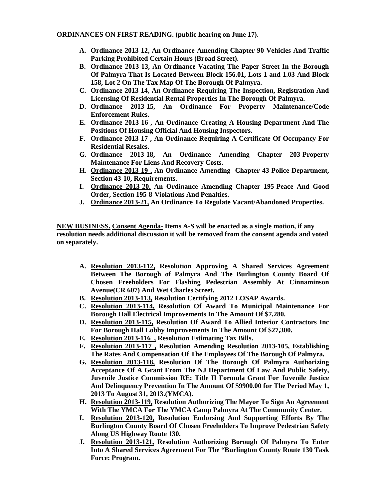# **ORDINANCES ON FIRST READING. (public hearing on June 17).**

- **A. Ordinance 2013-12, An Ordinance Amending Chapter 90 Vehicles And Traffic Parking Prohibited Certain Hours (Broad Street).**
- **B. Ordinance 2013-13, An Ordinance Vacating The Paper Street In the Borough Of Palmyra That Is Located Between Block 156.01, Lots 1 and 1.03 And Block 158, Lot 2 On The Tax Map Of The Borough Of Palmyra.**
- **C. Ordinance 2013-14, An Ordinance Requiring The Inspection, Registration And Licensing Of Residential Rental Properties In The Borough Of Palmyra.**
- **D. Ordinance 2013-15, An Ordinance For Property Maintenance/Code Enforcement Rules.**
- **E. Ordinance 2013-16 , An Ordinance Creating A Housing Department And The Positions Of Housing Official And Housing Inspectors.**
- **F. Ordinance 2013-17 , An Ordinance Requiring A Certificate Of Occupancy For Residential Resales.**
- **G. Ordinance 2013-18, An Ordinance Amending Chapter 203-Property Maintenance For Liens And Recovery Costs.**
- **H. Ordinance 2013-19 , An Ordinance Amending Chapter 43-Police Department, Section 43-10, Requirements.**
- **I. Ordinance 2013-20, An Ordinance Amending Chapter 195-Peace And Good Order, Section 195-8-Violations And Penalties.**
- **J. Ordinance 2013-21, An Ordinance To Regulate Vacant/Abandoned Properties.**

**NEW BUSINESS. Consent Agenda- Items A-S will be enacted as a single motion, if any resolution needs additional discussion it will be removed from the consent agenda and voted on separately.**

- **A. Resolution 2013-112, Resolution Approving A Shared Services Agreement Between The Borough of Palmyra And The Burlington County Board Of Chosen Freeholders For Flashing Pedestrian Assembly At Cinnaminson Avenue(CR 607) And Wet Charles Street.**
- **B. Resolution 2013-113, Resolution Certifying 2012 LOSAP Awards.**
- **C. Resolution 2013-114, Resolution Of Award To Municipal Maintenance For Borough Hall Electrical Improvements In The Amount Of \$7,280.**
- **D. Resolution 2013-115, Resolution Of Award To Allied Interior Contractors Inc For Borough Hall Lobby Improvements In The Amount Of \$27,300.**
- **E. Resolution 2013-116 , Resolution Estimating Tax Bills.**
- **F. Resolution 2013-117 , Resolution Amending Resolution 2013-105, Establishing The Rates And Compensation Of The Employees Of The Borough Of Palmyra.**
- **G. Resolution 2013-118, Resolution Of The Borough Of Palmyra Authorizing Acceptance Of A Grant From The NJ Department Of Law And Public Safety, Juvenile Justice Commission RE: Title II Formula Grant For Juvenile Justice And Delinquency Prevention In The Amount Of \$9900.00 for The Period May 1, 2013 To August 31, 2013.(YMCA).**
- **H. Resolution 2013-119, Resolution Authorizing The Mayor To Sign An Agreement With The YMCA For The YMCA Camp Palmyra At The Community Center.**
- **I. Resolution 2013-120, Resolution Endorsing And Supporting Efforts By The Burlington County Board Of Chosen Freeholders To Improve Pedestrian Safety Along US Highway Route 130.**
- **J. Resolution 2013-121, Resolution Authorizing Borough Of Palmyra To Enter Into A Shared Services Agreement For The "Burlington County Route 130 Task Force: Program.**